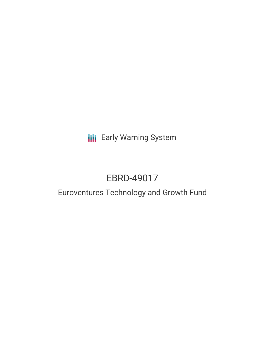**III** Early Warning System

# EBRD-49017

# Euroventures Technology and Growth Fund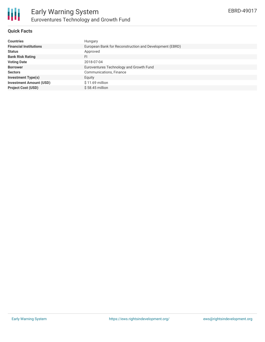

# **Quick Facts**

| <b>Countries</b>               | Hungary                                                 |
|--------------------------------|---------------------------------------------------------|
| <b>Financial Institutions</b>  | European Bank for Reconstruction and Development (EBRD) |
| <b>Status</b>                  | Approved                                                |
| <b>Bank Risk Rating</b>        | FI                                                      |
| <b>Voting Date</b>             | 2018-07-04                                              |
| <b>Borrower</b>                | Euroventures Technology and Growth Fund                 |
| <b>Sectors</b>                 | Communications, Finance                                 |
| <b>Investment Type(s)</b>      | Equity                                                  |
| <b>Investment Amount (USD)</b> | $$11.69$ million                                        |
| <b>Project Cost (USD)</b>      | $$58.45$ million                                        |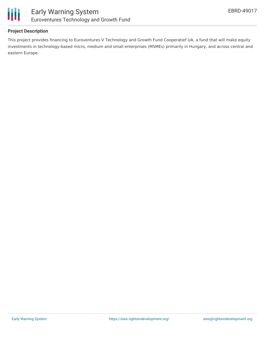

#### **Project Description**

This project provides financing to Euroventures V Technology and Growth Fund Cooperatief UA, a fund that will make equity investments in technology-based micro, medium and small enterprises (MSMEs) primarily in Hungary, and across central and eastern Europe.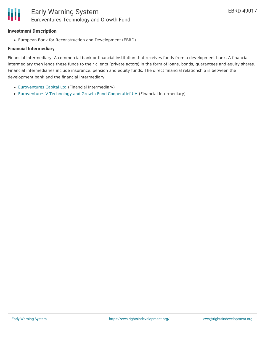#### **Investment Description**

Ш

European Bank for Reconstruction and Development (EBRD)

#### **Financial Intermediary**

Financial Intermediary: A commercial bank or financial institution that receives funds from a development bank. A financial intermediary then lends these funds to their clients (private actors) in the form of loans, bonds, guarantees and equity shares. Financial intermediaries include insurance, pension and equity funds. The direct financial relationship is between the development bank and the financial intermediary.

- [Euroventures](file:///actor/652/) Capital Ltd (Financial Intermediary)
- [Euroventures](file:///actor/653/) V Technology and Growth Fund Cooperatief UA (Financial Intermediary)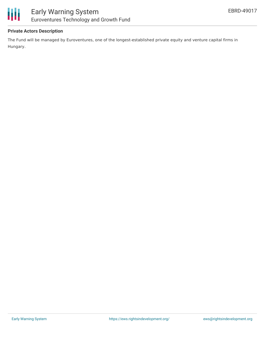



# **Private Actors Description**

The Fund will be managed by Euroventures, one of the longest-established private equity and venture capital firms in Hungary.